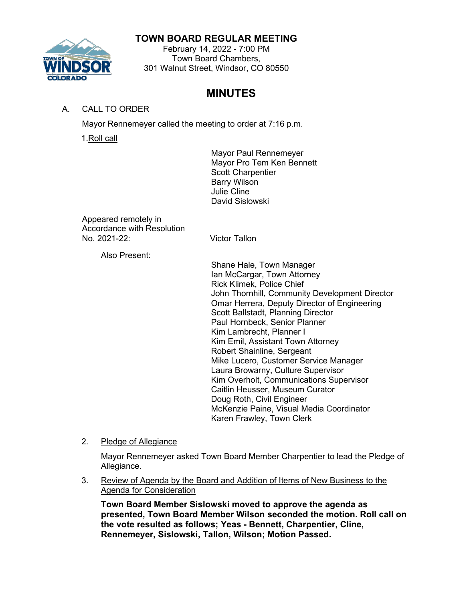# **TOWN BOARD REGULAR MEETING**

February 14, 2022 - 7:00 PM Town Board Chambers, 301 Walnut Street, Windsor, CO 80550

# **MINUTES**

A. CALL TO ORDER

Mayor Rennemeyer called the meeting to order at 7:16 p.m.

1.Roll call

Mayor Paul Rennemeyer Mayor Pro Tem Ken Bennett Scott Charpentier Barry Wilson Julie Cline David Sislowski

Appeared remotely in Accordance with Resolution<br>No. 2021-22:

Victor Tallon

Also Present:

Shane Hale, Town Manager Ian McCargar, Town Attorney Rick Klimek, Police Chief John Thornhill, Community Development Director Omar Herrera, Deputy Director of Engineering Scott Ballstadt, Planning Director Paul Hornbeck, Senior Planner Kim Lambrecht, Planner I Kim Emil, Assistant Town Attorney Robert Shainline, Sergeant Mike Lucero, Customer Service Manager Laura Browarny, Culture Supervisor Kim Overholt, Communications Supervisor Caitlin Heusser, Museum Curator Doug Roth, Civil Engineer McKenzie Paine, Visual Media Coordinator Karen Frawley, Town Clerk

## 2. Pledge of Allegiance

Mayor Rennemeyer asked Town Board Member Charpentier to lead the Pledge of Allegiance.

3. Review of Agenda by the Board and Addition of Items of New Business to the Agenda for Consideration

**Town Board Member Sislowski moved to approve the agenda as presented, Town Board Member Wilson seconded the motion. Roll call on the vote resulted as follows; Yeas - Bennett, Charpentier, Cline, Rennemeyer, Sislowski, Tallon, Wilson; Motion Passed.**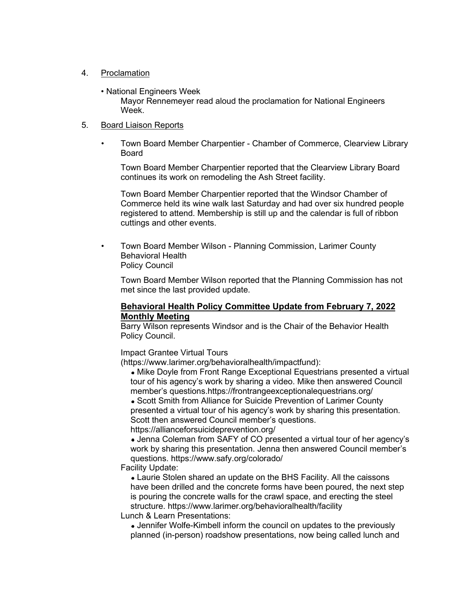#### 4. Proclamation

• National Engineers Week

Mayor Rennemeyer read aloud the proclamation for National Engineers Week.

#### 5. Board Liaison Reports

• Town Board Member Charpentier - Chamber of Commerce, Clearview Library Board

Town Board Member Charpentier reported that the Clearview Library Board continues its work on remodeling the Ash Street facility.

Town Board Member Charpentier reported that the Windsor Chamber of Commerce held its wine walk last Saturday and had over six hundred people registered to attend. Membership is still up and the calendar is full of ribbon cuttings and other events.

• Town Board Member Wilson - Planning Commission, Larimer County Behavioral Health Policy Council

Town Board Member Wilson reported that the Planning Commission has not met since the last provided update.

#### **Behavioral Health Policy Committee Update from February 7, 2022 Monthly Meeting**

Barry Wilson represents Windsor and is the Chair of the Behavior Health Policy Council.

Impact Grantee Virtual Tours

[\(https://www.larimer.org/behavioralhealth/impactfund\):](https://www.larimer.org/behavioralhealth/impactfund)

• Mike Doyle from Front Range Exceptional Equestrians presented a virtual tour of his agency's work by sharing a video. Mike then answered Council member's questions[.https://frontrangeexceptionalequestrians.org/](https://frontrangeexceptionalequestrians.org/)

• Scott Smith from Alliance for Suicide Prevention of Larimer County presented a virtual tour of his agency's work by sharing this presentation. Scott then answered Council member's questions.

<https://allianceforsuicideprevention.org/>

Jenna Coleman from SAFY of CO presented a virtual tour of her agency's work by sharing this presentation. Jenna then answered Council member's questions. <https://www.safy.org/colorado/>

#### Facility Update:

Laurie Stolen shared an update on the BHS Facility. All the caissons have been drilled and the concrete forms have been poured, the next step is pouring the concrete walls for the crawl space, and erecting the steel structure. <https://www.larimer.org/behavioralhealth/facility>

Lunch & Learn Presentations:

Jennifer Wolfe-Kimbell inform the council on updates to the previously planned (in-person) roadshow presentations, now being called lunch and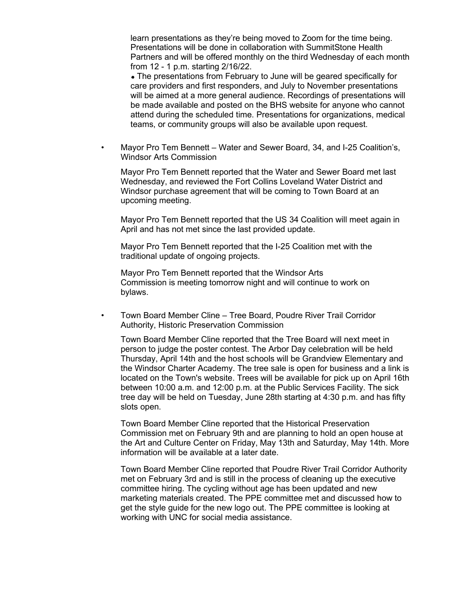learn presentations as they're being moved to Zoom for the time being. Presentations will be done in collaboration with SummitStone Health Partners and will be offered monthly on the third Wednesday of each month from 12 - 1 p.m. starting 2/16/22.

The presentations from February to June will be geared specifically for care providers and first responders, and July to November presentations will be aimed at a more general audience. Recordings of presentations will be made available and posted on the BHS website for anyone who cannot attend during the scheduled time. Presentations for organizations, medical teams, or community groups will also be available upon request.

• Mayor Pro Tem Bennett – Water and Sewer Board, 34, and I-25 Coalition's, Windsor Arts Commission

Mayor Pro Tem Bennett reported that the Water and Sewer Board met last Wednesday, and reviewed the Fort Collins Loveland Water District and Windsor purchase agreement that will be coming to Town Board at an upcoming meeting.

Mayor Pro Tem Bennett reported that the US 34 Coalition will meet again in April and has not met since the last provided update.

Mayor Pro Tem Bennett reported that the I-25 Coalition met with the traditional update of ongoing projects.

Mayor Pro Tem Bennett reported that the Windsor Arts Commission is meeting tomorrow night and will continue to work on bylaws.

• Town Board Member Cline – Tree Board, Poudre River Trail Corridor Authority, Historic Preservation Commission

Town Board Member Cline reported that the Tree Board will next meet in person to judge the poster contest. The Arbor Day celebration will be held Thursday, April 14th and the host schools will be Grandview Elementary and the Windsor Charter Academy. The tree sale is open for business and a link is located on the Town's website. Trees will be available for pick up on April 16th between 10:00 a.m. and 12:00 p.m. at the Public Services Facility. The sick tree day will be held on Tuesday, June 28th starting at 4:30 p.m. and has fifty slots open.

Town Board Member Cline reported that the Historical Preservation Commission met on February 9th and are planning to hold an open house at the Art and Culture Center on Friday, May 13th and Saturday, May 14th. More information will be available at a later date.

Town Board Member Cline reported that Poudre River Trail Corridor Authority met on February 3rd and is still in the process of cleaning up the executive committee hiring. The cycling without age has been updated and new marketing materials created. The PPE committee met and discussed how to get the style guide for the new logo out. The PPE committee is looking at working with UNC for social media assistance.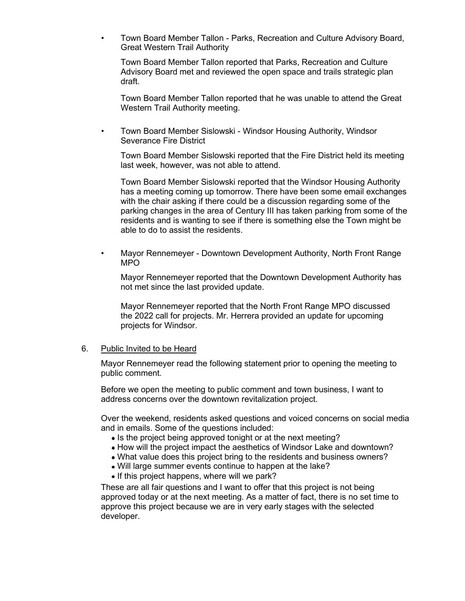• Town Board Member Tallon - Parks, Recreation and Culture Advisory Board, Great Western Trail Authority

Town Board Member Tallon reported that Parks, Recreation and Culture Advisory Board met and reviewed the open space and trails strategic plan draft.

Town Board Member Tallon reported that he was unable to attend the Great Western Trail Authority meeting.

• Town Board Member Sislowski - Windsor Housing Authority, Windsor Severance Fire District

Town Board Member Sislowski reported that the Fire District held its meeting last week, however, was not able to attend.

Town Board Member Sislowski reported that the Windsor Housing Authority has a meeting coming up tomorrow. There have been some email exchanges with the chair asking if there could be a discussion regarding some of the parking changes in the area of Century III has taken parking from some of the residents and is wanting to see if there is something else the Town might be able to do to assist the residents.

• Mayor Rennemeyer - Downtown Development Authority, North Front Range MPO

Mayor Rennemeyer reported that the Downtown Development Authority has not met since the last provided update.

Mayor Rennemeyer reported that the North Front Range MPO discussed the 2022 call for projects. Mr. Herrera provided an update for upcoming projects for Windsor.

#### 6. Public Invited to be Heard

Mayor Rennemeyer read the following statement prior to opening the meeting to public comment.

Before we open the meeting to public comment and town business, I want to address concerns over the downtown revitalization project.

Over the weekend, residents asked questions and voiced concerns on social media and in emails. Some of the questions included:

- Is the project being approved tonight or at the next meeting?
- How will the project impact the aesthetics of Windsor Lake and downtown?
- What value does this project bring to the residents and business owners?
- Will large summer events continue to happen at the lake?
- If this project happens, where will we park?

These are all fair questions and I want to offer that this project is not being approved today or at the next meeting. As a matter of fact, there is no set time to approve this project because we are in very early stages with the selected developer.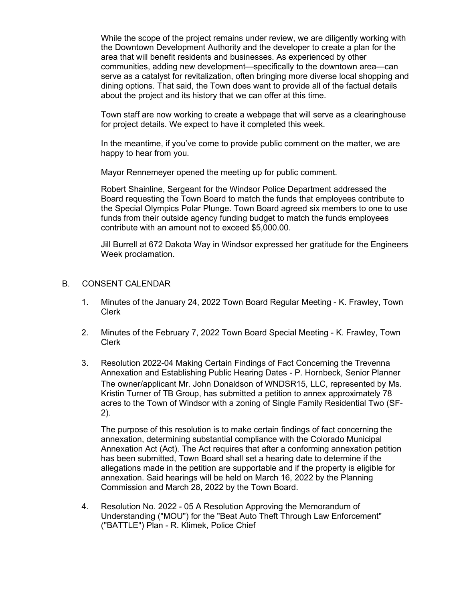While the scope of the project remains under review, we are diligently working with the Downtown Development Authority and the developer to create a plan for the area that will benefit residents and businesses. As experienced by other communities, adding new development—specifically to the downtown area—can serve as a catalyst for revitalization, often bringing more diverse local shopping and dining options. That said, the Town does want to provide all of the factual details about the project and its history that we can offer at this time.

Town staff are now working to create a webpage that will serve as a clearinghouse for project details. We expect to have it completed this week.

In the meantime, if you've come to provide public comment on the matter, we are happy to hear from you.

Mayor Rennemeyer opened the meeting up for public comment.

Robert Shainline, Sergeant for the Windsor Police Department addressed the Board requesting the Town Board to match the funds that employees contribute to the Special Olympics Polar Plunge. Town Board agreed six members to one to use funds from their outside agency funding budget to match the funds employees contribute with an amount not to exceed \$5,000.00.

Jill Burrell at 672 Dakota Way in Windsor expressed her gratitude for the Engineers Week proclamation.

#### B. CONSENT CALENDAR

- 1. Minutes of the January 24, 2022 Town Board Regular Meeting K. Frawley, Town Clerk
- 2. Minutes of the February 7, 2022 Town Board Special Meeting K. Frawley, Town Clerk
- 3. Resolution 2022-04 Making Certain Findings of Fact Concerning the Trevenna Annexation and Establishing Public Hearing Dates - P. Hornbeck, Senior Planner The owner/applicant Mr. John Donaldson of WNDSR15, LLC, represented by Ms. Kristin Turner of TB Group, has submitted a petition to annex approximately 78 acres to the Town of Windsor with a zoning of Single Family Residential Two (SF-2).

The purpose of this resolution is to make certain findings of fact concerning the annexation, determining substantial compliance with the Colorado Municipal Annexation Act (Act). The Act requires that after a conforming annexation petition has been submitted, Town Board shall set a hearing date to determine if the allegations made in the petition are supportable and if the property is eligible for annexation. Said hearings will be held on March 16, 2022 by the Planning Commission and March 28, 2022 by the Town Board.

4. Resolution No. 2022 - 05 A Resolution Approving the Memorandum of Understanding ("MOU") for the "Beat Auto Theft Through Law Enforcement" ("BATTLE") Plan - R. Klimek, Police Chief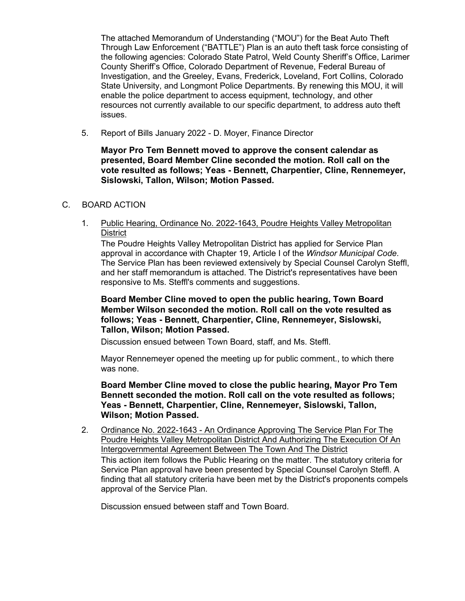The attached Memorandum of Understanding ("MOU") for the Beat Auto Theft Through Law Enforcement ("BATTLE") Plan is an auto theft task force consisting of the following agencies: Colorado State Patrol, Weld County Sheriff's Office, Larimer County Sheriff's Office, Colorado Department of Revenue, Federal Bureau of Investigation, and the Greeley, Evans, Frederick, Loveland, Fort Collins, Colorado State University, and Longmont Police Departments. By renewing this MOU, it will enable the police department to access equipment, technology, and other resources not currently available to our specific department, to address auto theft issues.

5. Report of Bills January 2022 - D. Moyer, Finance Director

**Mayor Pro Tem Bennett moved to approve the consent calendar as presented, Board Member Cline seconded the motion. Roll call on the vote resulted as follows; Yeas - Bennett, Charpentier, Cline, Rennemeyer, Sislowski, Tallon, Wilson; Motion Passed.**

#### C. BOARD ACTION

1. Public Hearing, Ordinance No. 2022-1643, Poudre Heights Valley Metropolitan **District** 

The Poudre Heights Valley Metropolitan District has applied for Service Plan approval in accordance with Chapter 19, Article I of the *Windsor Municipal Code*. The Service Plan has been reviewed extensively by Special Counsel Carolyn Steffl, and her staff memorandum is attached. The District's representatives have been responsive to Ms. Steffl's comments and suggestions.

**Board Member Cline moved to open the public hearing, Town Board Member Wilson seconded the motion. Roll call on the vote resulted as follows; Yeas - Bennett, Charpentier, Cline, Rennemeyer, Sislowski, Tallon, Wilson; Motion Passed.**

Discussion ensued between Town Board, staff, and Ms. Steffl.

Mayor Rennemeyer opened the meeting up for public comment., to which there was none.

**Board Member Cline moved to close the public hearing, Mayor Pro Tem Bennett seconded the motion. Roll call on the vote resulted as follows; Yeas - Bennett, Charpentier, Cline, Rennemeyer, Sislowski, Tallon, Wilson; Motion Passed.**

2. Ordinance No. 2022-1643 - An Ordinance Approving The Service Plan For The Poudre Heights Valley Metropolitan District And Authorizing The Execution Of An Intergovernmental Agreement Between The Town And The District This action item follows the Public Hearing on the matter. The statutory criteria for Service Plan approval have been presented by Special Counsel Carolyn Steffl. A finding that all statutory criteria have been met by the District's proponents compels approval of the Service Plan.

Discussion ensued between staff and Town Board.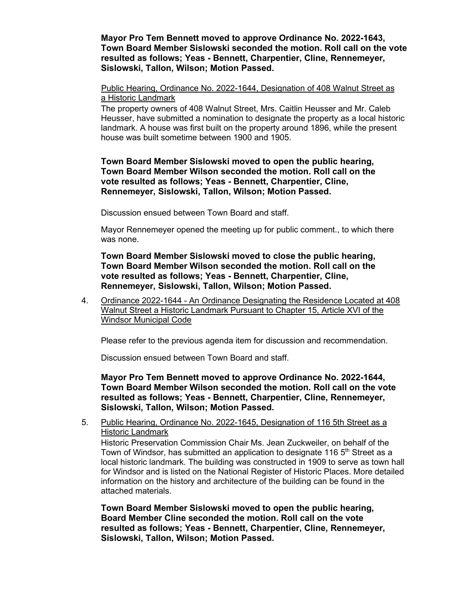**Mayor Pro Tem Bennett moved to approve Ordinance No. 2022-1643, Town Board Member Sislowski seconded the motion. Roll call on the vote resulted as follows; Yeas - Bennett, Charpentier, Cline, Rennemeyer, Sislowski, Tallon, Wilson; Motion Passed.**

#### Public Hearing, Ordinance No. 2022-1644, Designation of 408 Walnut Street as a Historic Landmark

The property owners of 408 Walnut Street, Mrs. Caitlin Heusser and Mr. Caleb Heusser, have submitted a nomination to designate the property as a local historic landmark. A house was first built on the property around 1896, while the present house was built sometime between 1900 and 1905.

### **Town Board Member Sislowski moved to open the public hearing, Town Board Member Wilson seconded the motion. Roll call on the vote resulted as follows; Yeas - Bennett, Charpentier, Cline, Rennemeyer, Sislowski, Tallon, Wilson; Motion Passed.**

Discussion ensued between Town Board and staff.

Mayor Rennemeyer opened the meeting up for public comment., to which there was none.

**Town Board Member Sislowski moved to close the public hearing, Town Board Member Wilson seconded the motion. Roll call on the vote resulted as follows; Yeas - Bennett, Charpentier, Cline, Rennemeyer, Sislowski, Tallon, Wilson; Motion Passed.**

4. Ordinance 2022-1644 - An Ordinance Designating the Residence Located at 408 Walnut Street a Historic Landmark Pursuant to Chapter 15, Article XVI of the Windsor Municipal Code

Please refer to the previous agenda item for discussion and recommendation.

Discussion ensued between Town Board and staff.

**Mayor Pro Tem Bennett moved to approve Ordinance No. 2022-1644, Town Board Member Wilson seconded the motion. Roll call on the vote resulted as follows; Yeas - Bennett, Charpentier, Cline, Rennemeyer, Sislowski, Tallon, Wilson; Motion Passed.**

### 5. Public Hearing, Ordinance No. 2022-1645, Designation of 116 5th Street as a Historic Landmark

Historic Preservation Commission Chair Ms. Jean Zuckweiler, on behalf of the Town of Windsor, has submitted an application to designate 116  $5<sup>th</sup>$  Street as a local historic landmark. The building was constructed in 1909 to serve as town hall for Windsor and is listed on the National Register of Historic Places. More detailed information on the history and architecture of the building can be found in the attached materials.

**Town Board Member Sislowski moved to open the public hearing, Board Member Cline seconded the motion. Roll call on the vote resulted as follows; Yeas - Bennett, Charpentier, Cline, Rennemeyer, Sislowski, Tallon, Wilson; Motion Passed.**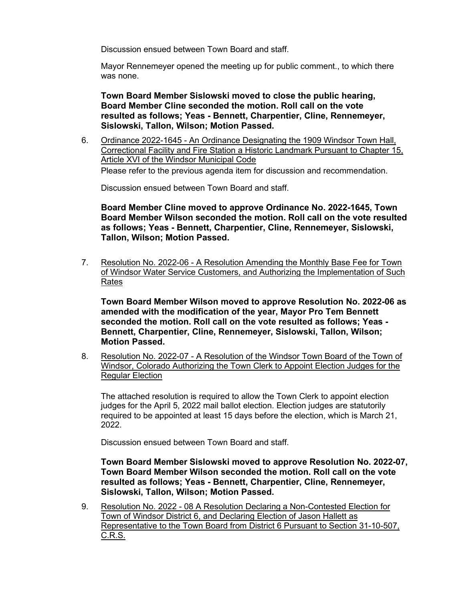Discussion ensued between Town Board and staff.

Mayor Rennemeyer opened the meeting up for public comment., to which there was none.

**Town Board Member Sislowski moved to close the public hearing, Board Member Cline seconded the motion. Roll call on the vote resulted as follows; Yeas - Bennett, Charpentier, Cline, Rennemeyer, Sislowski, Tallon, Wilson; Motion Passed.**

6. Ordinance 2022-1645 - An Ordinance Designating the 1909 Windsor Town Hall, Correctional Facility and Fire Station a Historic Landmark Pursuant to Chapter 15, Article XVI of the Windsor Municipal Code Please refer to the previous agenda item for discussion and recommendation.

Discussion ensued between Town Board and staff.

**Board Member Cline moved to approve Ordinance No. 2022-1645, Town Board Member Wilson seconded the motion. Roll call on the vote resulted as follows; Yeas - Bennett, Charpentier, Cline, Rennemeyer, Sislowski, Tallon, Wilson; Motion Passed.**

7. Resolution No. 2022-06 - A Resolution Amending the Monthly Base Fee for Town of Windsor Water Service Customers, and Authorizing the Implementation of Such Rates

**Town Board Member Wilson moved to approve Resolution No. 2022-06 as amended with the modification of the year, Mayor Pro Tem Bennett seconded the motion. Roll call on the vote resulted as follows; Yeas - Bennett, Charpentier, Cline, Rennemeyer, Sislowski, Tallon, Wilson; Motion Passed.**

8. Resolution No. 2022-07 - A Resolution of the Windsor Town Board of the Town of Windsor, Colorado Authorizing the Town Clerk to Appoint Election Judges for the Regular Election

The attached resolution is required to allow the Town Clerk to appoint election judges for the April 5, 2022 mail ballot election. Election judges are statutorily required to be appointed at least 15 days before the election, which is March 21, 2022.

Discussion ensued between Town Board and staff.

**Town Board Member Sislowski moved to approve Resolution No. 2022-07, Town Board Member Wilson seconded the motion. Roll call on the vote resulted as follows; Yeas - Bennett, Charpentier, Cline, Rennemeyer, Sislowski, Tallon, Wilson; Motion Passed.**

9. Resolution No. 2022 - 08 A Resolution Declaring a Non-Contested Election for Town of Windsor District 6, and Declaring Election of Jason Hallett as Representative to the Town Board from District 6 Pursuant to Section 31-10-507, C.R.S.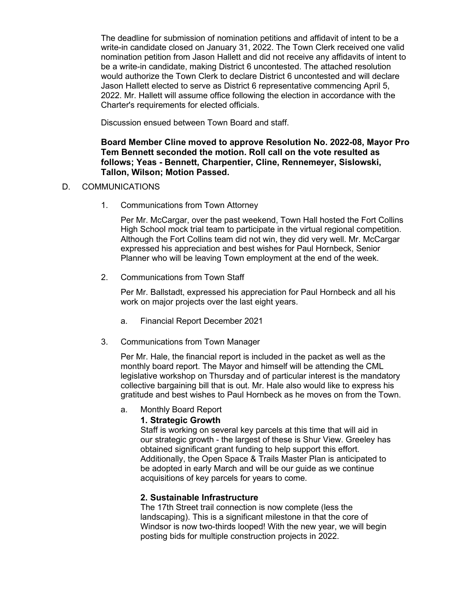The deadline for submission of nomination petitions and affidavit of intent to be a write-in candidate closed on January 31, 2022. The Town Clerk received one valid nomination petition from Jason Hallett and did not receive any affidavits of intent to be a write-in candidate, making District 6 uncontested. The attached resolution would authorize the Town Clerk to declare District 6 uncontested and will declare Jason Hallett elected to serve as District 6 representative commencing April 5, 2022. Mr. Hallett will assume office following the election in accordance with the Charter's requirements for elected officials.

Discussion ensued between Town Board and staff.

### **Board Member Cline moved to approve Resolution No. 2022-08, Mayor Pro Tem Bennett seconded the motion. Roll call on the vote resulted as follows; Yeas - Bennett, Charpentier, Cline, Rennemeyer, Sislowski, Tallon, Wilson; Motion Passed.**

### D. COMMUNICATIONS

1. Communications from Town Attorney

Per Mr. McCargar, over the past weekend, Town Hall hosted the Fort Collins High School mock trial team to participate in the virtual regional competition. Although the Fort Collins team did not win, they did very well. Mr. McCargar expressed his appreciation and best wishes for Paul Hornbeck, Senior Planner who will be leaving Town employment at the end of the week.

2. Communications from Town Staff

Per Mr. Ballstadt, expressed his appreciation for Paul Hornbeck and all his work on major projects over the last eight years.

- a. Financial Report December 2021
- 3. Communications from Town Manager

Per Mr. Hale, the financial report is included in the packet as well as the monthly board report. The Mayor and himself will be attending the CML legislative workshop on Thursday and of particular interest is the mandatory collective bargaining bill that is out. Mr. Hale also would like to express his gratitude and best wishes to Paul Hornbeck as he moves on from the Town.

a. Monthly Board Report

### **1. Strategic Growth**

Staff is working on several key parcels at this time that will aid in our strategic growth - the largest of these is Shur View. Greeley has obtained significant grant funding to help support this effort. Additionally, the Open Space & Trails Master Plan is anticipated to be adopted in early March and will be our guide as we continue acquisitions of key parcels for years to come.

### **2. Sustainable Infrastructure**

The 17th Street trail connection is now complete (less the landscaping). This is a significant milestone in that the core of Windsor is now two-thirds looped! With the new year, we will begin posting bids for multiple construction projects in 2022.